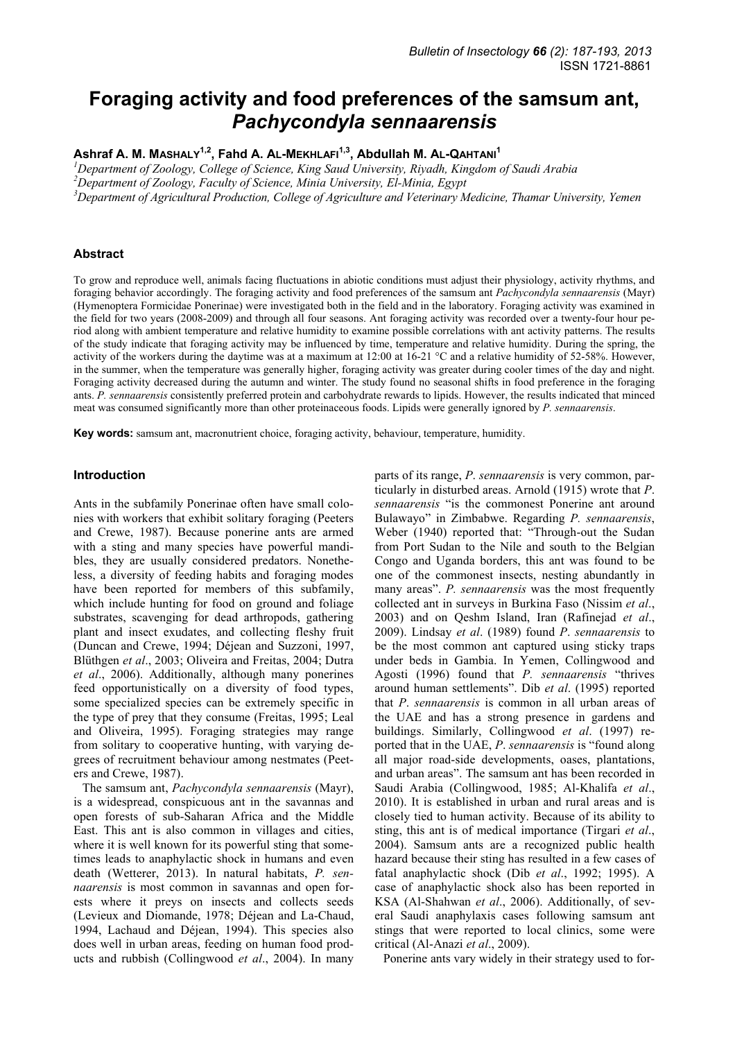# **Foraging activity and food preferences of the samsum ant,**  *Pachycondyla sennaarensis*

**Ashraf A. M. MASHALY1,2, Fahd A. AL-MEKHLAFI1,3, Abdullah M. AL-QAHTANI1**

*1 Department of Zoology, College of Science, King Saud University, Riyadh, Kingdom of Saudi Arabia* 

*2 Department of Zoology, Faculty of Science, Minia University, El-Minia, Egypt* 

<sup>3</sup> Department of Agricultural Production, College of Agriculture and Veterinary Medicine, Thamar University, Yemen

## **Abstract**

To grow and reproduce well, animals facing fluctuations in abiotic conditions must adjust their physiology, activity rhythms, and foraging behavior accordingly. The foraging activity and food preferences of the samsum ant *Pachycondyla sennaarensis* (Mayr) (Hymenoptera Formicidae Ponerinae) were investigated both in the field and in the laboratory. Foraging activity was examined in the field for two years (2008-2009) and through all four seasons. Ant foraging activity was recorded over a twenty-four hour period along with ambient temperature and relative humidity to examine possible correlations with ant activity patterns. The results of the study indicate that foraging activity may be influenced by time, temperature and relative humidity. During the spring, the activity of the workers during the daytime was at a maximum at 12:00 at 16-21 °C and a relative humidity of 52-58%. However, in the summer, when the temperature was generally higher, foraging activity was greater during cooler times of the day and night. Foraging activity decreased during the autumn and winter. The study found no seasonal shifts in food preference in the foraging ants. *P. sennaarensis* consistently preferred protein and carbohydrate rewards to lipids. However, the results indicated that minced meat was consumed significantly more than other proteinaceous foods. Lipids were generally ignored by *P. sennaarensis*.

**Key words:** samsum ant, macronutrient choice, foraging activity, behaviour, temperature, humidity.

## **Introduction**

Ants in the subfamily Ponerinae often have small colonies with workers that exhibit solitary foraging (Peeters and Crewe, 1987). Because ponerine ants are armed with a sting and many species have powerful mandibles, they are usually considered predators. Nonetheless, a diversity of feeding habits and foraging modes have been reported for members of this subfamily, which include hunting for food on ground and foliage substrates, scavenging for dead arthropods, gathering plant and insect exudates, and collecting fleshy fruit (Duncan and Crewe, 1994; Déjean and Suzzoni, 1997, Blüthgen *et al*., 2003; Oliveira and Freitas, 2004; Dutra *et al*., 2006). Additionally, although many ponerines feed opportunistically on a diversity of food types, some specialized species can be extremely specific in the type of prey that they consume (Freitas, 1995; Leal and Oliveira, 1995). Foraging strategies may range from solitary to cooperative hunting, with varying degrees of recruitment behaviour among nestmates (Peeters and Crewe, 1987).

The samsum ant, *Pachycondyla sennaarensis* (Mayr), is a widespread, conspicuous ant in the savannas and open forests of sub-Saharan Africa and the Middle East. This ant is also common in villages and cities, where it is well known for its powerful sting that sometimes leads to anaphylactic shock in humans and even death (Wetterer, 2013). In natural habitats, *P. sennaarensis* is most common in savannas and open forests where it preys on insects and collects seeds (Levieux and Diomande, 1978; Déjean and La-Chaud, 1994, Lachaud and Déjean, 1994). This species also does well in urban areas, feeding on human food products and rubbish (Collingwood *et al*., 2004). In many parts of its range, *P*. *sennaarensis* is very common, particularly in disturbed areas. Arnold (1915) wrote that *P*. *sennaarensis* "is the commonest Ponerine ant around Bulawayo" in Zimbabwe. Regarding *P. sennaarensis*, Weber (1940) reported that: "Through-out the Sudan from Port Sudan to the Nile and south to the Belgian Congo and Uganda borders, this ant was found to be one of the commonest insects, nesting abundantly in many areas". *P. sennaarensis* was the most frequently collected ant in surveys in Burkina Faso (Nissim *et al*., 2003) and on Qeshm Island, Iran (Rafinejad *et al*., 2009). Lindsay *et al*. (1989) found *P*. *sennaarensis* to be the most common ant captured using sticky traps under beds in Gambia. In Yemen, Collingwood and Agosti (1996) found that *P. sennaarensis* "thrives around human settlements". Dib *et al*. (1995) reported that *P*. *sennaarensis* is common in all urban areas of the UAE and has a strong presence in gardens and buildings. Similarly, Collingwood *et al*. (1997) reported that in the UAE, *P*. *sennaarensis* is "found along all major road-side developments, oases, plantations, and urban areas". The samsum ant has been recorded in Saudi Arabia (Collingwood, 1985; Al-Khalifa *et al*., 2010). It is established in urban and rural areas and is closely tied to human activity. Because of its ability to sting, this ant is of medical importance (Tirgari *et al*., 2004). Samsum ants are a recognized public health hazard because their sting has resulted in a few cases of fatal anaphylactic shock (Dib *et al*., 1992; 1995). A case of anaphylactic shock also has been reported in KSA (Al-Shahwan *et al*., 2006). Additionally, of several Saudi anaphylaxis cases following samsum ant stings that were reported to local clinics, some were critical (Al-Anazi *et al*., 2009).

Ponerine ants vary widely in their strategy used to for-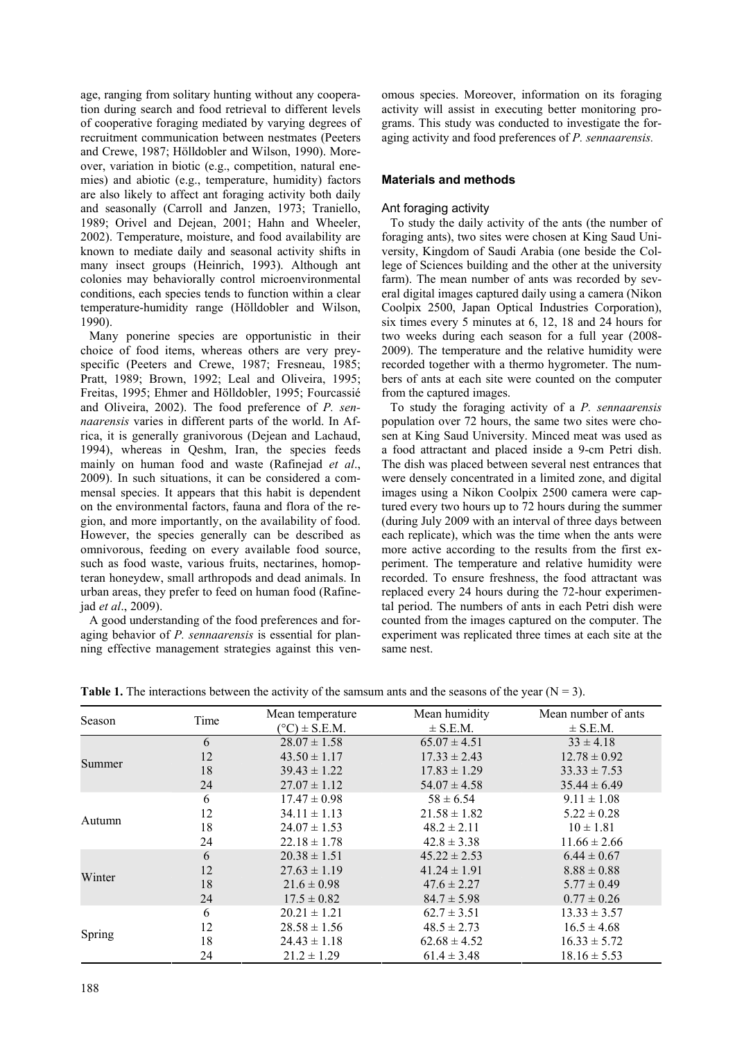age, ranging from solitary hunting without any cooperation during search and food retrieval to different levels of cooperative foraging mediated by varying degrees of recruitment communication between nestmates (Peeters and Crewe, 1987; Hölldobler and Wilson, 1990). Moreover, variation in biotic (e.g., competition, natural enemies) and abiotic (e.g., temperature, humidity) factors are also likely to affect ant foraging activity both daily and seasonally (Carroll and Janzen, 1973; Traniello, 1989; Orivel and Dejean, 2001; Hahn and Wheeler, 2002). Temperature, moisture, and food availability are known to mediate daily and seasonal activity shifts in many insect groups (Heinrich, 1993). Although ant colonies may behaviorally control microenvironmental conditions, each species tends to function within a clear temperature-humidity range (Hölldobler and Wilson, 1990).

Many ponerine species are opportunistic in their choice of food items, whereas others are very preyspecific (Peeters and Crewe, 1987; Fresneau, 1985; Pratt, 1989; Brown, 1992; Leal and Oliveira, 1995; Freitas, 1995; Ehmer and Hölldobler, 1995; Fourcassié and Oliveira, 2002). The food preference of *P. sennaarensis* varies in different parts of the world. In Africa, it is generally granivorous (Dejean and Lachaud, 1994), whereas in Qeshm, Iran, the species feeds mainly on human food and waste (Rafinejad *et al*., 2009). In such situations, it can be considered a commensal species. It appears that this habit is dependent on the environmental factors, fauna and flora of the region, and more importantly, on the availability of food. However, the species generally can be described as omnivorous, feeding on every available food source, such as food waste, various fruits, nectarines, homopteran honeydew, small arthropods and dead animals. In urban areas, they prefer to feed on human food (Rafinejad *et al*., 2009).

A good understanding of the food preferences and foraging behavior of *P. sennaarensis* is essential for planning effective management strategies against this venomous species. Moreover, information on its foraging activity will assist in executing better monitoring programs. This study was conducted to investigate the foraging activity and food preferences of *P. sennaarensis.* 

# **Materials and methods**

## Ant foraging activity

To study the daily activity of the ants (the number of foraging ants), two sites were chosen at King Saud University, Kingdom of Saudi Arabia (one beside the College of Sciences building and the other at the university farm). The mean number of ants was recorded by several digital images captured daily using a camera (Nikon Coolpix 2500, Japan Optical Industries Corporation), six times every 5 minutes at 6, 12, 18 and 24 hours for two weeks during each season for a full year (2008- 2009). The temperature and the relative humidity were recorded together with a thermo hygrometer. The numbers of ants at each site were counted on the computer from the captured images.

To study the foraging activity of a *P. sennaarensis*  population over 72 hours, the same two sites were chosen at King Saud University. Minced meat was used as a food attractant and placed inside a 9-cm Petri dish. The dish was placed between several nest entrances that were densely concentrated in a limited zone, and digital images using a Nikon Coolpix 2500 camera were captured every two hours up to 72 hours during the summer (during July 2009 with an interval of three days between each replicate), which was the time when the ants were more active according to the results from the first experiment. The temperature and relative humidity were recorded. To ensure freshness, the food attractant was replaced every 24 hours during the 72-hour experimental period. The numbers of ants in each Petri dish were counted from the images captured on the computer. The experiment was replicated three times at each site at the same nest.

**Table 1.** The interactions between the activity of the samsum ants and the seasons of the year ( $N = 3$ ).

| Season | Time | Mean temperature         | Mean humidity    | Mean number of ants |
|--------|------|--------------------------|------------------|---------------------|
|        |      | $(^{\circ}C) \pm$ S.E.M. | $\pm$ S.E.M.     | $\pm$ S.E.M.        |
|        | 6    | $28.07 \pm 1.58$         | $65.07 \pm 4.51$ | $33 \pm 4.18$       |
|        | 12   | $43.50 \pm 1.17$         | $17.33 \pm 2.43$ | $12.78 \pm 0.92$    |
| Summer | 18   | $39.43 \pm 1.22$         | $17.83 \pm 1.29$ | $33.33 \pm 7.53$    |
|        | 24   | $27.07 \pm 1.12$         | $54.07 \pm 4.58$ | $35.44 \pm 6.49$    |
|        | 6    | $17.47 \pm 0.98$         | $58 \pm 6.54$    | $9.11 \pm 1.08$     |
|        | 12   | $34.11 \pm 1.13$         | $21.58 \pm 1.82$ | $5.22 \pm 0.28$     |
| Autumn | 18   | $24.07 \pm 1.53$         | $48.2 \pm 2.11$  | $10 \pm 1.81$       |
|        | 24   | $22.18 \pm 1.78$         | $42.8 \pm 3.38$  | $11.66 \pm 2.66$    |
|        | 6    | $20.38 \pm 1.51$         | $45.22 \pm 2.53$ | $6.44 \pm 0.67$     |
|        | 12   | $27.63 \pm 1.19$         | $41.24 \pm 1.91$ | $8.88 \pm 0.88$     |
| Winter | 18   | $21.6 \pm 0.98$          | $47.6 \pm 2.27$  | $5.77 \pm 0.49$     |
|        | 24   | $17.5 \pm 0.82$          | $84.7 \pm 5.98$  | $0.77 \pm 0.26$     |
|        | 6    | $20.21 \pm 1.21$         | $62.7 \pm 3.51$  | $13.33 \pm 3.57$    |
|        | 12   | $28.58 \pm 1.56$         | $48.5 \pm 2.73$  | $16.5 \pm 4.68$     |
| Spring | 18   | $24.43 \pm 1.18$         | $62.68 \pm 4.52$ | $16.33 \pm 5.72$    |
|        | 24   | $21.2 \pm 1.29$          | $61.4 \pm 3.48$  | $18.16 \pm 5.53$    |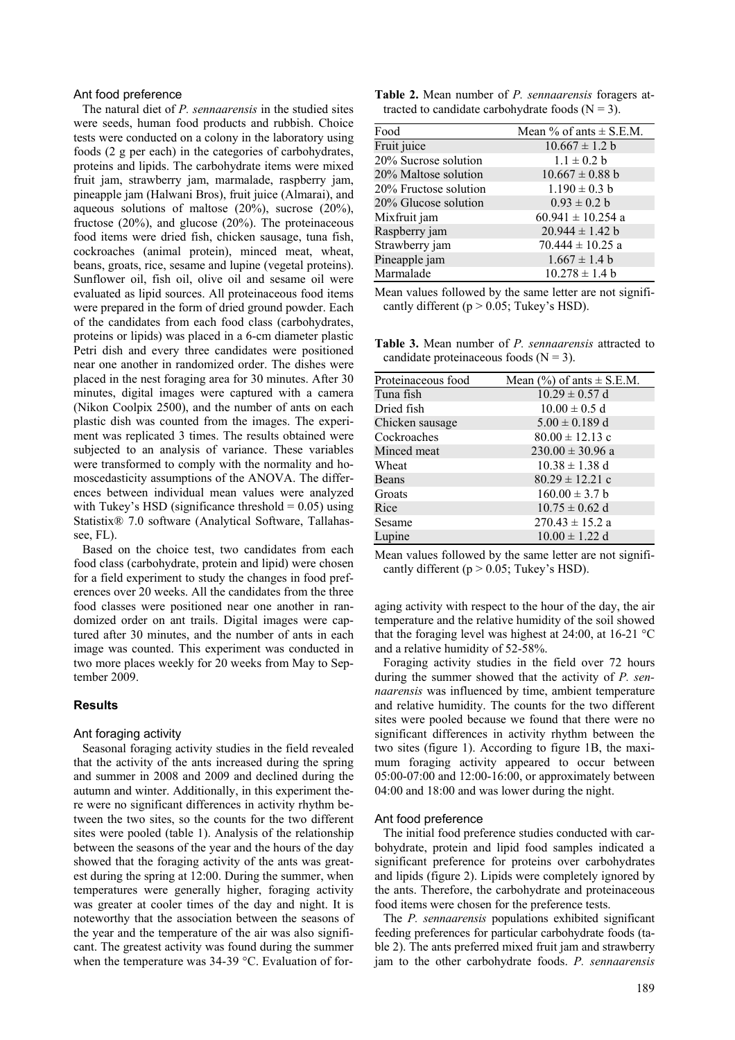## Ant food preference

The natural diet of *P. sennaarensis* in the studied sites were seeds, human food products and rubbish. Choice tests were conducted on a colony in the laboratory using foods (2 g per each) in the categories of carbohydrates, proteins and lipids. The carbohydrate items were mixed fruit jam, strawberry jam, marmalade, raspberry jam, pineapple jam (Halwani Bros), fruit juice (Almarai), and aqueous solutions of maltose (20%), sucrose (20%), fructose (20%), and glucose (20%). The proteinaceous food items were dried fish, chicken sausage, tuna fish, cockroaches (animal protein), minced meat, wheat, beans, groats, rice, sesame and lupine (vegetal proteins). Sunflower oil, fish oil, olive oil and sesame oil were evaluated as lipid sources. All proteinaceous food items were prepared in the form of dried ground powder. Each of the candidates from each food class (carbohydrates, proteins or lipids) was placed in a 6-cm diameter plastic Petri dish and every three candidates were positioned near one another in randomized order. The dishes were placed in the nest foraging area for 30 minutes. After 30 minutes, digital images were captured with a camera (Nikon Coolpix 2500), and the number of ants on each plastic dish was counted from the images. The experiment was replicated 3 times. The results obtained were subjected to an analysis of variance. These variables were transformed to comply with the normality and homoscedasticity assumptions of the ANOVA. The differences between individual mean values were analyzed with Tukey's HSD (significance threshold  $= 0.05$ ) using Statistix® 7.0 software (Analytical Software, Tallahassee, FL).

Based on the choice test, two candidates from each food class (carbohydrate, protein and lipid) were chosen for a field experiment to study the changes in food preferences over 20 weeks. All the candidates from the three food classes were positioned near one another in randomized order on ant trails. Digital images were captured after 30 minutes, and the number of ants in each image was counted. This experiment was conducted in two more places weekly for 20 weeks from May to September 2009.

## **Results**

#### Ant foraging activity

Seasonal foraging activity studies in the field revealed that the activity of the ants increased during the spring and summer in 2008 and 2009 and declined during the autumn and winter. Additionally, in this experiment there were no significant differences in activity rhythm between the two sites, so the counts for the two different sites were pooled (table 1). Analysis of the relationship between the seasons of the year and the hours of the day showed that the foraging activity of the ants was greatest during the spring at 12:00. During the summer, when temperatures were generally higher, foraging activity was greater at cooler times of the day and night. It is noteworthy that the association between the seasons of the year and the temperature of the air was also significant. The greatest activity was found during the summer when the temperature was 34-39 °C. Evaluation of for-

|  |  | Table 2. Mean number of <i>P. sennaarensis</i> foragers at- |  |  |
|--|--|-------------------------------------------------------------|--|--|
|  |  | tracted to candidate carbohydrate foods $(N = 3)$ .         |  |  |

| Food                  | Mean % of ants $\pm$ S.E.M. |
|-----------------------|-----------------------------|
| Fruit juice           | $10.667 \pm 1.2$ b          |
| 20% Sucrose solution  | $1.1 \pm 0.2 b$             |
| 20% Maltose solution  | $10.667 \pm 0.88$ b         |
| 20% Fructose solution | $1.190 \pm 0.3$ b           |
| 20% Glucose solution  | $0.93 \pm 0.2 b$            |
| Mixfruit jam          | $60.941 \pm 10.254$ a       |
| Raspberry jam         | $20.944 \pm 1.42$ b         |
| Strawberry jam        | $70.444 \pm 10.25$ a        |
| Pineapple jam         | $1.667 \pm 1.4$ b           |
| Marmalade             | $10.278 \pm 1.4$ b          |

Mean values followed by the same letter are not significantly different ( $p > 0.05$ ; Tukey's HSD).

**Table 3.** Mean number of *P. sennaarensis* attracted to candidate proteinaceous foods  $(N = 3)$ .

| Proteinaceous food | Mean $(\% )$ of ants $\pm$ S.E.M. |
|--------------------|-----------------------------------|
| Tuna fish          | $10.29 \pm 0.57$ d                |
| Dried fish         | $10.00 \pm 0.5$ d                 |
| Chicken sausage    | $5.00 \pm 0.189$ d                |
| Cockroaches        | $80.00 \pm 12.13$ c               |
| Minced meat        | $230.00 \pm 30.96$ a              |
| Wheat              | $10.38 \pm 1.38$ d                |
| Beans              | $80.29 \pm 12.21$ c               |
| Groats             | $160.00 \pm 3.7 b$                |
| Rice               | $10.75 \pm 0.62$ d                |
| Sesame             | $270.43 \pm 15.2$ a               |
| Lupine             | $10.00 \pm 1.22$ d                |

Mean values followed by the same letter are not significantly different ( $p > 0.05$ ; Tukey's HSD).

aging activity with respect to the hour of the day, the air temperature and the relative humidity of the soil showed that the foraging level was highest at  $24:00$ , at  $16-21$  °C and a relative humidity of 52-58%.

Foraging activity studies in the field over 72 hours during the summer showed that the activity of *P. sennaarensis* was influenced by time, ambient temperature and relative humidity. The counts for the two different sites were pooled because we found that there were no significant differences in activity rhythm between the two sites (figure 1). According to figure 1B, the maximum foraging activity appeared to occur between 05:00-07:00 and 12:00-16:00, or approximately between 04:00 and 18:00 and was lower during the night.

#### Ant food preference

The initial food preference studies conducted with carbohydrate, protein and lipid food samples indicated a significant preference for proteins over carbohydrates and lipids (figure 2). Lipids were completely ignored by the ants. Therefore, the carbohydrate and proteinaceous food items were chosen for the preference tests.

The *P. sennaarensis* populations exhibited significant feeding preferences for particular carbohydrate foods (table 2). The ants preferred mixed fruit jam and strawberry jam to the other carbohydrate foods. *P. sennaarensis*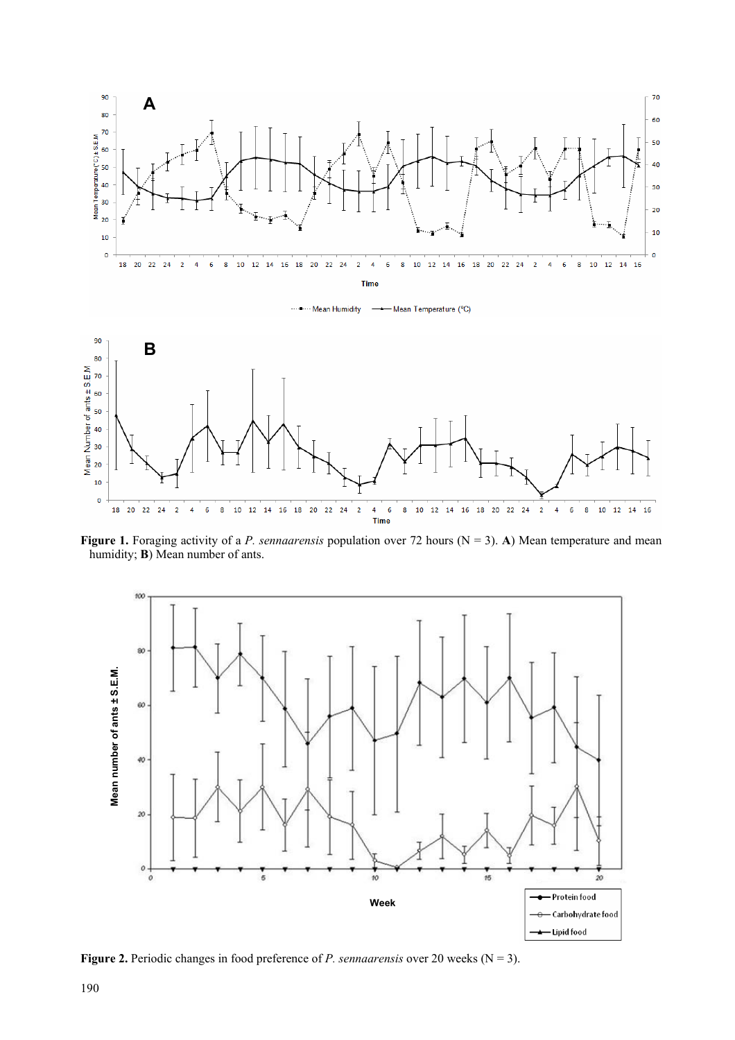

Figure 1. Foraging activity of a *P. sennaarensis* population over 72 hours (N = 3). A) Mean temperature and mean humidity; **B**) Mean number of ants.



**Figure 2.** Periodic changes in food preference of *P. sennaarensis* over 20 weeks ( $N = 3$ ).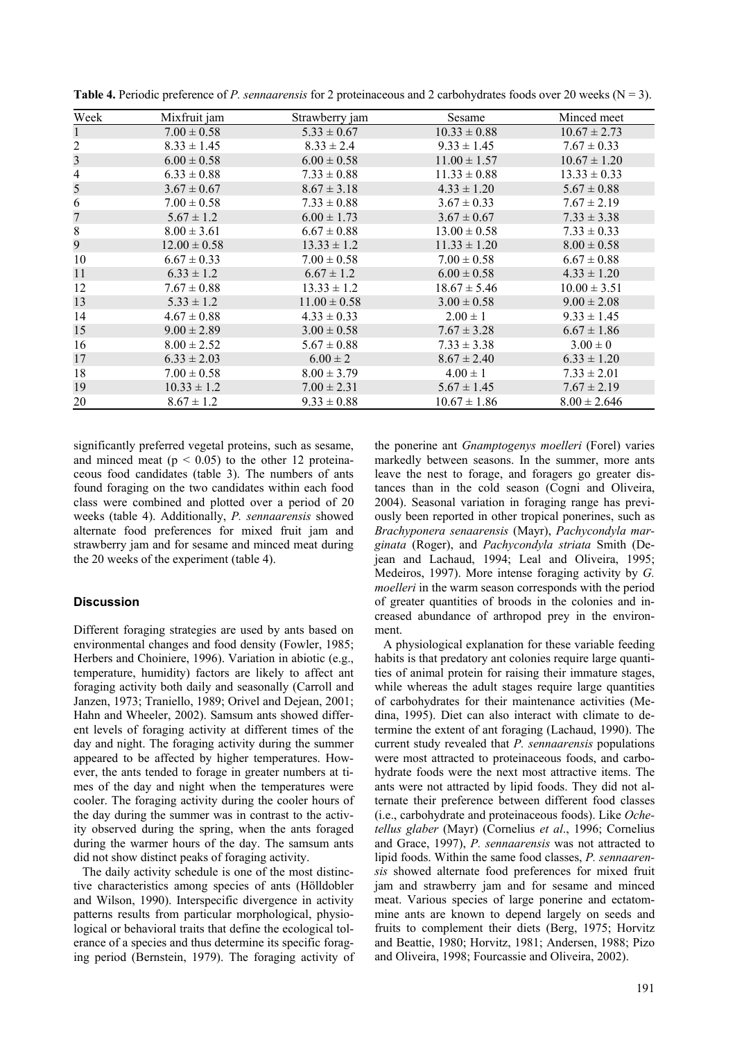| Week           | Mixfruit jam     | Strawberry jam   | Sesame           | Minced meet      |
|----------------|------------------|------------------|------------------|------------------|
|                | $7.00 \pm 0.58$  | $5.33 \pm 0.67$  | $10.33 \pm 0.88$ | $10.67 \pm 2.73$ |
| $\overline{c}$ | $8.33 \pm 1.45$  | $8.33 \pm 2.4$   | $9.33 \pm 1.45$  | $7.67 \pm 0.33$  |
| 3              | $6.00 \pm 0.58$  | $6.00 \pm 0.58$  | $11.00 \pm 1.57$ | $10.67 \pm 1.20$ |
| $\overline{4}$ | $6.33 \pm 0.88$  | $7.33 \pm 0.88$  | $11.33 \pm 0.88$ | $13.33 \pm 0.33$ |
| 5              | $3.67 \pm 0.67$  | $8.67 \pm 3.18$  | $4.33 \pm 1.20$  | $5.67 \pm 0.88$  |
| 6              | $7.00 \pm 0.58$  | $7.33 \pm 0.88$  | $3.67 \pm 0.33$  | $7.67 \pm 2.19$  |
| 7              | $5.67 \pm 1.2$   | $6.00 \pm 1.73$  | $3.67 \pm 0.67$  | $7.33 \pm 3.38$  |
| $8\,$          | $8.00 \pm 3.61$  | $6.67 \pm 0.88$  | $13.00 \pm 0.58$ | $7.33 \pm 0.33$  |
| 9              | $12.00 \pm 0.58$ | $13.33 \pm 1.2$  | $11.33 \pm 1.20$ | $8.00 \pm 0.58$  |
| 10             | $6.67 \pm 0.33$  | $7.00 \pm 0.58$  | $7.00 \pm 0.58$  | $6.67 \pm 0.88$  |
| 11             | $6.33 \pm 1.2$   | $6.67 \pm 1.2$   | $6.00 \pm 0.58$  | $4.33 \pm 1.20$  |
| 12             | $7.67 \pm 0.88$  | $13.33 \pm 1.2$  | $18.67 \pm 5.46$ | $10.00 \pm 3.51$ |
| 13             | $5.33 \pm 1.2$   | $11.00 \pm 0.58$ | $3.00 \pm 0.58$  | $9.00 \pm 2.08$  |
| 14             | $4.67 \pm 0.88$  | $4.33 \pm 0.33$  | $2.00 \pm 1$     | $9.33 \pm 1.45$  |
| 15             | $9.00 \pm 2.89$  | $3.00 \pm 0.58$  | $7.67 \pm 3.28$  | $6.67 \pm 1.86$  |
| 16             | $8.00 \pm 2.52$  | $5.67 \pm 0.88$  | $7.33 \pm 3.38$  | $3.00 \pm 0$     |
| 17             | $6.33 \pm 2.03$  | $6.00 \pm 2$     | $8.67 \pm 2.40$  | $6.33 \pm 1.20$  |
| 18             | $7.00 \pm 0.58$  | $8.00 \pm 3.79$  | $4.00 \pm 1$     | $7.33 \pm 2.01$  |
| 19             | $10.33 \pm 1.2$  | $7.00 \pm 2.31$  | $5.67 \pm 1.45$  | $7.67 \pm 2.19$  |
| 20             | $8.67 \pm 1.2$   | $9.33 \pm 0.88$  | $10.67 \pm 1.86$ | $8.00 \pm 2.646$ |

**Table 4.** Periodic preference of *P. sennaarensis* for 2 proteinaceous and 2 carbohydrates foods over 20 weeks ( $N = 3$ ).

significantly preferred vegetal proteins, such as sesame, and minced meat ( $p < 0.05$ ) to the other 12 proteinaceous food candidates (table 3). The numbers of ants found foraging on the two candidates within each food class were combined and plotted over a period of 20 weeks (table 4). Additionally, *P. sennaarensis* showed alternate food preferences for mixed fruit jam and strawberry jam and for sesame and minced meat during the 20 weeks of the experiment (table 4).

## **Discussion**

Different foraging strategies are used by ants based on environmental changes and food density (Fowler, 1985; Herbers and Choiniere, 1996). Variation in abiotic (e.g., temperature, humidity) factors are likely to affect ant foraging activity both daily and seasonally (Carroll and Janzen, 1973; Traniello, 1989; Orivel and Dejean, 2001; Hahn and Wheeler, 2002). Samsum ants showed different levels of foraging activity at different times of the day and night. The foraging activity during the summer appeared to be affected by higher temperatures. However, the ants tended to forage in greater numbers at times of the day and night when the temperatures were cooler. The foraging activity during the cooler hours of the day during the summer was in contrast to the activity observed during the spring, when the ants foraged during the warmer hours of the day. The samsum ants did not show distinct peaks of foraging activity.

The daily activity schedule is one of the most distinctive characteristics among species of ants (Hölldobler and Wilson, 1990). Interspecific divergence in activity patterns results from particular morphological, physiological or behavioral traits that define the ecological tolerance of a species and thus determine its specific foraging period (Bernstein, 1979). The foraging activity of

the ponerine ant *Gnamptogenys moelleri* (Forel) varies markedly between seasons. In the summer, more ants leave the nest to forage, and foragers go greater distances than in the cold season (Cogni and Oliveira, 2004). Seasonal variation in foraging range has previously been reported in other tropical ponerines, such as *Brachyponera senaarensis* (Mayr), *Pachycondyla marginata* (Roger), and *Pachycondyla striata* Smith (Dejean and Lachaud, 1994; Leal and Oliveira, 1995; Medeiros, 1997). More intense foraging activity by *G. moelleri* in the warm season corresponds with the period of greater quantities of broods in the colonies and increased abundance of arthropod prey in the environment.

A physiological explanation for these variable feeding habits is that predatory ant colonies require large quantities of animal protein for raising their immature stages, while whereas the adult stages require large quantities of carbohydrates for their maintenance activities (Medina, 1995). Diet can also interact with climate to determine the extent of ant foraging (Lachaud, 1990). The current study revealed that *P. sennaarensis* populations were most attracted to proteinaceous foods, and carbohydrate foods were the next most attractive items. The ants were not attracted by lipid foods. They did not alternate their preference between different food classes (i.e., carbohydrate and proteinaceous foods). Like *Ochetellus glaber* (Mayr) (Cornelius *et al*., 1996; Cornelius and Grace, 1997), *P. sennaarensis* was not attracted to lipid foods. Within the same food classes, *P. sennaarensis* showed alternate food preferences for mixed fruit jam and strawberry jam and for sesame and minced meat. Various species of large ponerine and ectatommine ants are known to depend largely on seeds and fruits to complement their diets (Berg, 1975; Horvitz and Beattie, 1980; Horvitz, 1981; Andersen, 1988; Pizo and Oliveira, 1998; Fourcassie and Oliveira, 2002).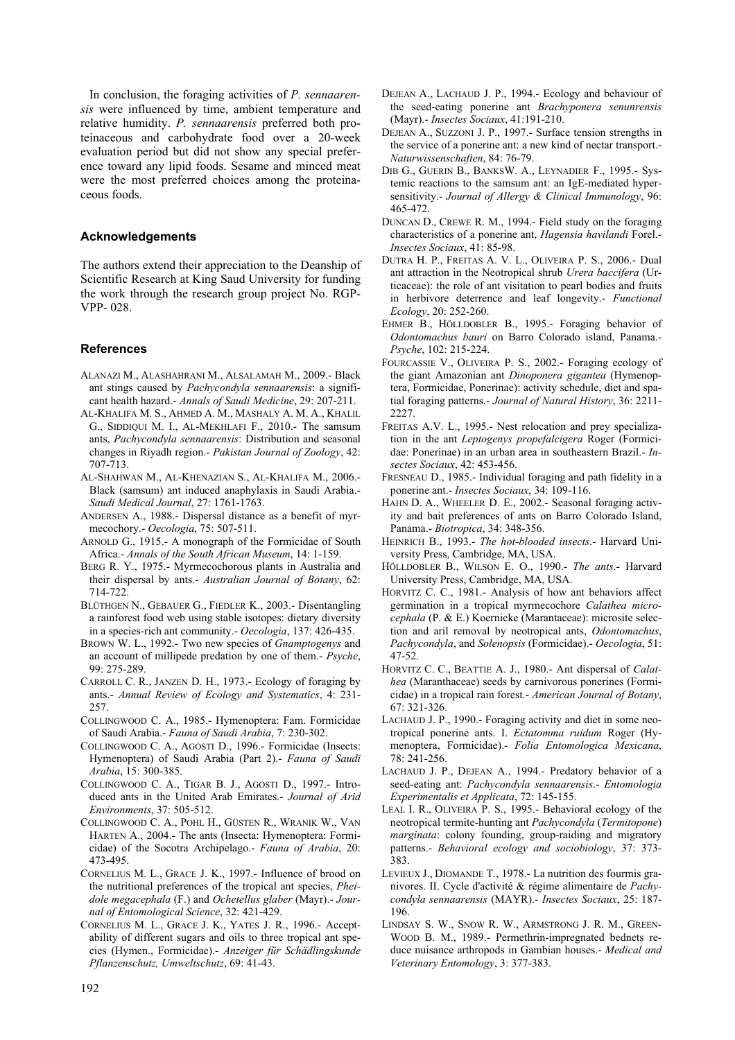In conclusion, the foraging activities of *P. sennaarensis* were influenced by time, ambient temperature and relative humidity. *P. sennaarensis* preferred both proteinaceous and carbohydrate food over a 20-week evaluation period but did not show any special preference toward any lipid foods. Sesame and minced meat were the most preferred choices among the proteinaceous foods.

## **Acknowledgements**

The authors extend their appreciation to the Deanship of Scientific Research at King Saud University for funding the work through the research group project No. RGP-VPP- 028.

#### **References**

- ALANAZI M., ALASHAHRANI M., ALSALAMAH M., 2009.- Black ant stings caused by *Pachycondyla sennaarensis*: a significant health hazard.- *Annals of Saudi Medicine*, 29: 207-211.
- AL-KHALIFA M. S., AHMED A. M., MASHALY A. M. A., KHALIL G., SIDDIQUI M. I., AL-MEKHLAFI F., 2010.- The samsum ants, *Pachycondyla sennaarensis*: Distribution and seasonal changes in Riyadh region.- *Pakistan Journal of Zoology*, 42: 707-713.
- AL-SHAHWAN M., AL-KHENAZIAN S., AL-KHALIFA M., 2006.- Black (samsum) ant induced anaphylaxis in Saudi Arabia.- *Saudi Medical Journal*, 27: 1761-1763.
- ANDERSEN A., 1988.- Dispersal distance as a benefit of myrmecochory.- *Oecologia*, 75: 507-511.
- ARNOLD G., 1915.- A monograph of the Formicidae of South Africa.- *Annals of the South African Museum*, 14: 1-159.
- BERG R. Y., 1975.- Myrmecochorous plants in Australia and their dispersal by ants.- *Australian Journal of Botany*, 62: 714-722.
- BLÜTHGEN N., GEBAUER G., FIEDLER K., 2003.- Disentangling a rainforest food web using stable isotopes: dietary diversity in a species-rich ant community.- *Oecologia*, 137: 426-435.
- BROWN W. L., 1992.- Two new species of *Gnamptogenys* and an account of millipede predation by one of them.- *Psyche*, 99: 275-289.
- CARROLL C. R., JANZEN D. H., 1973.- Ecology of foraging by ants.- *Annual Review of Ecology and Systematics*, 4: 231- 257.
- COLLINGWOOD C. A., 1985.- Hymenoptera: Fam. Formicidae of Saudi Arabia.- *Fauna of Saudi Arabia*, 7: 230-302.
- COLLINGWOOD C. A., AGOSTI D., 1996.- Formicidae (Insects: Hymenoptera) of Saudi Arabia (Part 2).- *Fauna of Saudi Arabia*, 15: 300-385.
- COLLINGWOOD C. A., TIGAR B. J., AGOSTI D., 1997.- Introduced ants in the United Arab Emirates.- *Journal of Arid Environments*, 37: 505-512.
- COLLINGWOOD C. A., POHL H., GÜSTEN R., WRANIK W., VAN HARTEN A., 2004.- The ants (Insecta: Hymenoptera: Formicidae) of the Socotra Archipelago.- *Fauna of Arabia*, 20: 473-495.
- CORNELIUS M. L., GRACE J. K., 1997.- Influence of brood on the nutritional preferences of the tropical ant species, *Pheidole megacephala* (F.) and *Ochetellus glaber* (Mayr).- *Journal of Entomological Science*, 32: 421-429.
- CORNELIUS M. L., GRACE J. K., YATES J. R., 1996.- Acceptability of different sugars and oils to three tropical ant species (Hymen., Formicidae).- *Anzeiger für Schädlingskunde Pflanzenschutz, Umweltschutz*, 69: 41-43.
- DEJEAN A., LACHAUD J. P., 1994.- Ecology and behaviour of the seed-eating ponerine ant *Brachyponera senunrensis*  (Mayr).- *Insectes Sociaux*, 41:191-210.
- DEJEAN A., SUZZONI J. P., 1997.- Surface tension strengths in the service of a ponerine ant: a new kind of nectar transport.- *Naturwissenschaften*, 84: 76-79.
- DIB G., GUERIN B., BANKSW. A., LEYNADIER F., 1995.- Systemic reactions to the samsum ant: an IgE-mediated hypersensitivity.- *Journal of Allergy & Clinical Immunology*, 96: 465-472.
- DUNCAN D., CREWE R. M., 1994.- Field study on the foraging characteristics of a ponerine ant, *Hagensia havilandi* Forel.- *Insectes Sociaux*, 41: 85-98.
- DUTRA H. P., FREITAS A. V. L., OLIVEIRA P. S., 2006.- Dual ant attraction in the Neotropical shrub *Urera baccifera* (Urticaceae): the role of ant visitation to pearl bodies and fruits in herbivore deterrence and leaf longevity.- *Functional Ecology*, 20: 252-260.
- EHMER B., HÖLLDOBLER B., 1995.- Foraging behavior of *Odontomachus bauri* on Barro Colorado island, Panama.- *Psyche*, 102: 215-224.
- FOURCASSIE V., OLIVEIRA P. S., 2002.- Foraging ecology of the giant Amazonian ant *Dinoponera gigantea* (Hymenoptera, Formicidae, Ponerinae): activity schedule, diet and spatial foraging patterns.- *Journal of Natural History*, 36: 2211- 2227.
- FREITAS A.V. L., 1995.- Nest relocation and prey specialization in the ant *Leptogenys propefalcigera* Roger (Formicidae: Ponerinae) in an urban area in southeastern Brazil.- *Insectes Sociaux*, 42: 453-456.
- FRESNEAU D., 1985.- Individual foraging and path fidelity in a ponerine ant.- *Insectes Sociaux*, 34: 109-116.
- HAHN D. A., WHEELER D. E., 2002.- Seasonal foraging activity and bait preferences of ants on Barro Colorado Island, Panama.- *Biotropica*, 34: 348-356.
- HEINRICH B., 1993.- *The hot-blooded insects*.- Harvard University Press, Cambridge, MA, USA.
- HÖLLDOBLER B., WILSON E. O., 1990.- *The ants*.- Harvard University Press, Cambridge, MA, USA.
- HORVITZ C. C., 1981.- Analysis of how ant behaviors affect germination in a tropical myrmecochore *Calathea microcephala* (P. & E.) Koernicke (Marantaceae): microsite selection and aril removal by neotropical ants, *Odontomachus*, *Pachycondyla*, and *Solenopsis* (Formicidae).- *Oecologia*, 51: 47-52.
- HORVITZ C. C., BEATTIE A. J., 1980.- Ant dispersal of *Calathea* (Maranthaceae) seeds by carnivorous ponerines (Formicidae) in a tropical rain forest.- *American Journal of Botany*, 67: 321-326.
- LACHAUD J. P., 1990.- Foraging activity and diet in some neotropical ponerine ants. I. *Ectatomma ruidum* Roger (Hymenoptera, Formicidae).- *Folia Entomologica Mexicana*, 78: 241-256.
- LACHAUD J. P., DEJEAN A., 1994.- Predatory behavior of a seed-eating ant: *Pachycondyla sennaarensis*.- *Entomologia Experimentalis et Applicata*, 72: 145-155.
- LEAL I. R., OLIVEIRA P. S., 1995.- Behavioral ecology of the neotropical termite-hunting ant *Pachycondyla* (*Termitopone*) *marginata*: colony founding, group-raiding and migratory patterns.- *Behavioral ecology and sociobiology*, 37: 373- 383.
- LEVIEUX J., DIOMANDE T., 1978.- La nutrition des fourmis granivores. II. Cycle d'activité & régime alimentaire de *Pachycondyla sennaarensis* (MAYR).- *Insectes Sociaux*, 25: 187- 196.
- LINDSAY S. W., SNOW R. W., ARMSTRONG J. R. M., GREEN-WOOD B. M., 1989.- Permethrin-impregnated bednets reduce nuisance arthropods in Gambian houses.- *Medical and Veterinary Entomology*, 3: 377-383.